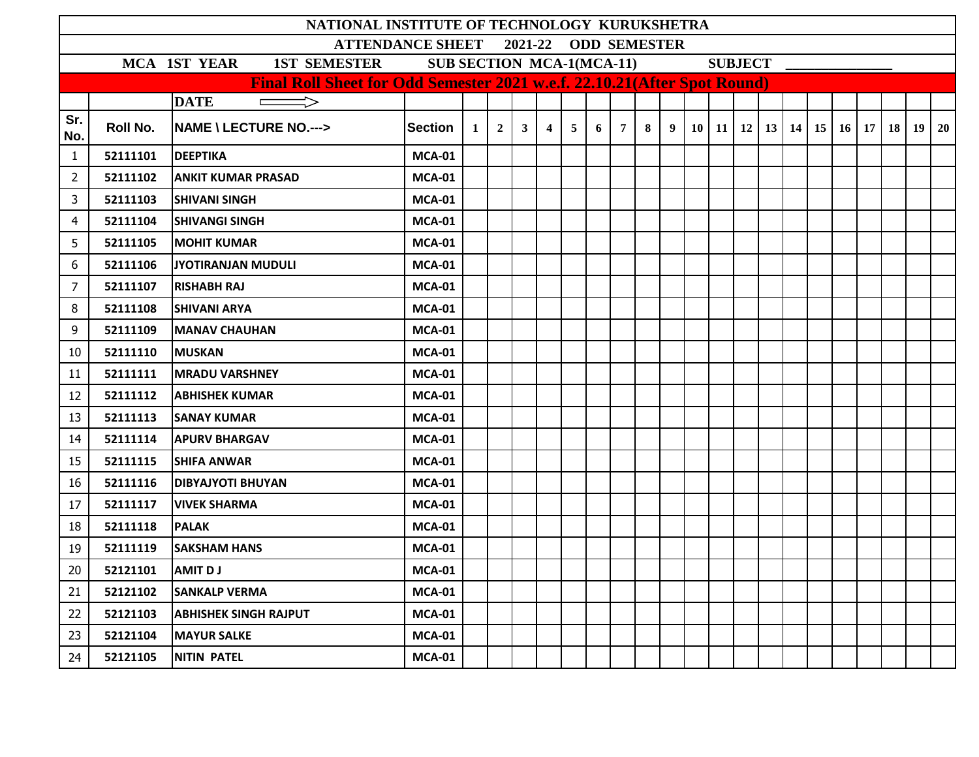|                                                                                                       |          | NATIONAL INSTITUTE OF TECHNOLOGY KURUKSHETRA                             |               |                |                |                |                |                |   |                 |   |             |  |  |  |  |  |                                                      |  |  |
|-------------------------------------------------------------------------------------------------------|----------|--------------------------------------------------------------------------|---------------|----------------|----------------|----------------|----------------|----------------|---|-----------------|---|-------------|--|--|--|--|--|------------------------------------------------------|--|--|
| <b>ATTENDANCE SHEET</b><br>2021-22 ODD SEMESTER<br><b>SUB SECTION MCA-1(MCA-11)</b><br><b>SUBJECT</b> |          |                                                                          |               |                |                |                |                |                |   |                 |   |             |  |  |  |  |  |                                                      |  |  |
|                                                                                                       |          | MCA 1ST YEAR<br><b>1ST SEMESTER</b>                                      |               |                |                |                |                |                |   |                 |   |             |  |  |  |  |  |                                                      |  |  |
|                                                                                                       |          | Final Roll Sheet for Odd Semester 2021 w.e.f. 22.10.21(After Spot Round) |               |                |                |                |                |                |   |                 |   |             |  |  |  |  |  |                                                      |  |  |
|                                                                                                       |          | <b>DATE</b><br>$\Rightarrow$                                             |               |                |                |                |                |                |   |                 |   |             |  |  |  |  |  |                                                      |  |  |
| Sr.<br>No.                                                                                            | Roll No. | <b>NAME \ LECTURE NO.---&gt;</b>                                         | Section       | 1 <sup>1</sup> | 2 <sup>1</sup> | 3 <sup>1</sup> | $\overline{4}$ | 5 <sup>5</sup> | 6 | $7\overline{ }$ | 8 | $9^{\circ}$ |  |  |  |  |  | 10   11   12   13   14   15   16   17   18   19   20 |  |  |
| $\mathbf{1}$                                                                                          | 52111101 | <b>DEEPTIKA</b>                                                          | <b>MCA-01</b> |                |                |                |                |                |   |                 |   |             |  |  |  |  |  |                                                      |  |  |
| $\overline{2}$                                                                                        | 52111102 | <b>ANKIT KUMAR PRASAD</b>                                                | <b>MCA-01</b> |                |                |                |                |                |   |                 |   |             |  |  |  |  |  |                                                      |  |  |
| 3                                                                                                     | 52111103 | <b>SHIVANI SINGH</b>                                                     | <b>MCA-01</b> |                |                |                |                |                |   |                 |   |             |  |  |  |  |  |                                                      |  |  |
| 4                                                                                                     | 52111104 | <b>SHIVANGI SINGH</b>                                                    | <b>MCA-01</b> |                |                |                |                |                |   |                 |   |             |  |  |  |  |  |                                                      |  |  |
| 5                                                                                                     | 52111105 | <b>MOHIT KUMAR</b>                                                       | <b>MCA-01</b> |                |                |                |                |                |   |                 |   |             |  |  |  |  |  |                                                      |  |  |
| 6                                                                                                     | 52111106 | JYOTIRANJAN MUDULI                                                       | <b>MCA-01</b> |                |                |                |                |                |   |                 |   |             |  |  |  |  |  |                                                      |  |  |
| 7                                                                                                     | 52111107 | <b>RISHABH RAJ</b>                                                       | <b>MCA-01</b> |                |                |                |                |                |   |                 |   |             |  |  |  |  |  |                                                      |  |  |
| 8                                                                                                     | 52111108 | <b>SHIVANI ARYA</b>                                                      | <b>MCA-01</b> |                |                |                |                |                |   |                 |   |             |  |  |  |  |  |                                                      |  |  |
| 9                                                                                                     | 52111109 | <b>MANAV CHAUHAN</b>                                                     | <b>MCA-01</b> |                |                |                |                |                |   |                 |   |             |  |  |  |  |  |                                                      |  |  |
| 10                                                                                                    | 52111110 | <b>MUSKAN</b>                                                            | <b>MCA-01</b> |                |                |                |                |                |   |                 |   |             |  |  |  |  |  |                                                      |  |  |
| 11                                                                                                    | 52111111 | <b>MRADU VARSHNEY</b>                                                    | <b>MCA-01</b> |                |                |                |                |                |   |                 |   |             |  |  |  |  |  |                                                      |  |  |
| 12                                                                                                    | 52111112 | <b>ABHISHEK KUMAR</b>                                                    | <b>MCA-01</b> |                |                |                |                |                |   |                 |   |             |  |  |  |  |  |                                                      |  |  |
| 13                                                                                                    | 52111113 | <b>SANAY KUMAR</b>                                                       | <b>MCA-01</b> |                |                |                |                |                |   |                 |   |             |  |  |  |  |  |                                                      |  |  |
| 14                                                                                                    | 52111114 | <b>APURV BHARGAV</b>                                                     | <b>MCA-01</b> |                |                |                |                |                |   |                 |   |             |  |  |  |  |  |                                                      |  |  |
| 15                                                                                                    | 52111115 | <b>SHIFA ANWAR</b>                                                       | <b>MCA-01</b> |                |                |                |                |                |   |                 |   |             |  |  |  |  |  |                                                      |  |  |
| 16                                                                                                    | 52111116 | <b>DIBYAJYOTI BHUYAN</b>                                                 | <b>MCA-01</b> |                |                |                |                |                |   |                 |   |             |  |  |  |  |  |                                                      |  |  |
| 17                                                                                                    | 52111117 | <b>VIVEK SHARMA</b>                                                      | <b>MCA-01</b> |                |                |                |                |                |   |                 |   |             |  |  |  |  |  |                                                      |  |  |
| 18                                                                                                    | 52111118 | <b>PALAK</b>                                                             | <b>MCA-01</b> |                |                |                |                |                |   |                 |   |             |  |  |  |  |  |                                                      |  |  |
| 19                                                                                                    | 52111119 | <b>SAKSHAM HANS</b>                                                      | <b>MCA-01</b> |                |                |                |                |                |   |                 |   |             |  |  |  |  |  |                                                      |  |  |
| $20\,$                                                                                                | 52121101 | <b>AMIT DJ</b>                                                           | <b>MCA-01</b> |                |                |                |                |                |   |                 |   |             |  |  |  |  |  |                                                      |  |  |
| 21                                                                                                    | 52121102 | <b>SANKALP VERMA</b>                                                     | <b>MCA-01</b> |                |                |                |                |                |   |                 |   |             |  |  |  |  |  |                                                      |  |  |
| 22                                                                                                    | 52121103 | <b>ABHISHEK SINGH RAJPUT</b>                                             | <b>MCA-01</b> |                |                |                |                |                |   |                 |   |             |  |  |  |  |  |                                                      |  |  |
| 23                                                                                                    | 52121104 | <b>MAYUR SALKE</b>                                                       | <b>MCA-01</b> |                |                |                |                |                |   |                 |   |             |  |  |  |  |  |                                                      |  |  |
| 24                                                                                                    | 52121105 | <b>NITIN PATEL</b>                                                       | <b>MCA-01</b> |                |                |                |                |                |   |                 |   |             |  |  |  |  |  |                                                      |  |  |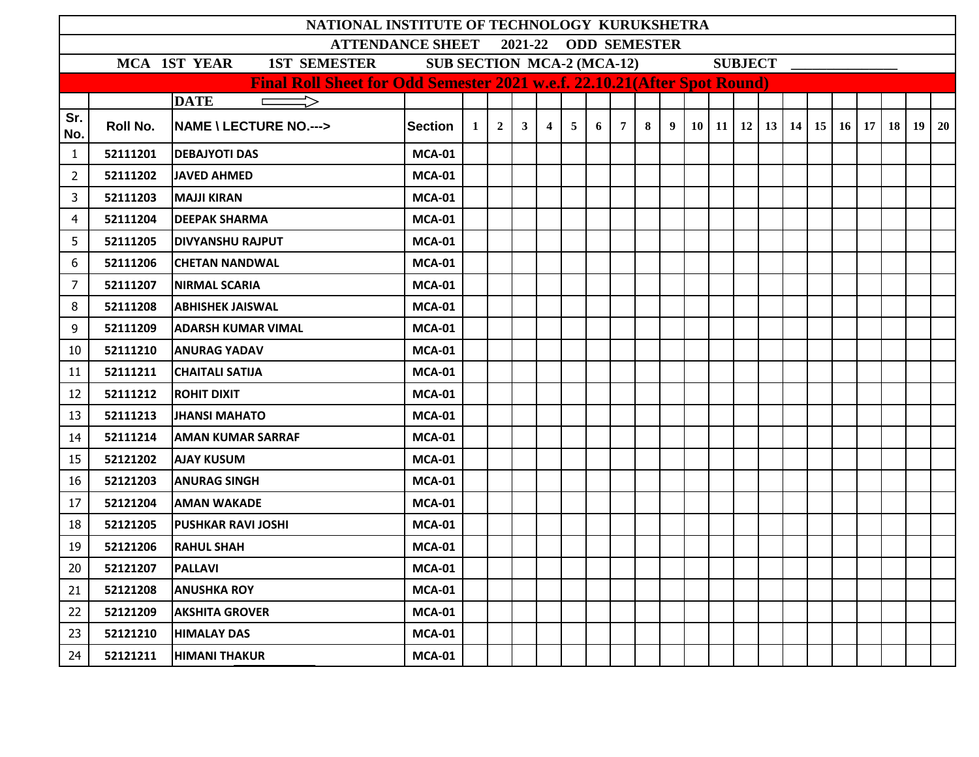|                                                                                                |          | NATIONAL INSTITUTE OF TECHNOLOGY KURUKSHETRA                             |                |          |                |                |                |                |   |                |   |   |  |  |                |                                                   |           |           |      |    |           |
|------------------------------------------------------------------------------------------------|----------|--------------------------------------------------------------------------|----------------|----------|----------------|----------------|----------------|----------------|---|----------------|---|---|--|--|----------------|---------------------------------------------------|-----------|-----------|------|----|-----------|
| 2021-22<br><b>ODD SEMESTER</b><br><b>ATTENDANCE SHEET</b><br><b>SUB SECTION MCA-2 (MCA-12)</b> |          |                                                                          |                |          |                |                |                |                |   |                |   |   |  |  |                |                                                   |           |           |      |    |           |
|                                                                                                |          | MCA 1ST YEAR<br><b>1ST SEMESTER</b>                                      |                |          |                |                |                |                |   |                |   |   |  |  | <b>SUBJECT</b> |                                                   |           |           |      |    |           |
|                                                                                                |          | Final Roll Sheet for Odd Semester 2021 w.e.f. 22.10.21(After Spot Round) |                |          |                |                |                |                |   |                |   |   |  |  |                |                                                   |           |           |      |    |           |
| Sr.                                                                                            |          | <b>DATE</b>                                                              |                |          |                |                |                |                |   |                |   |   |  |  |                |                                                   |           |           |      |    |           |
| No.                                                                                            | Roll No. | <b>NAME \ LECTURE NO.---&gt;</b>                                         | <b>Section</b> | $1\vert$ | $\overline{2}$ | 3 <sup>1</sup> | $\overline{4}$ | 5 <sup>5</sup> | 6 | $\overline{7}$ | 8 | 9 |  |  |                | $10 \mid 11 \mid 12 \mid 13 \mid 14 \mid 15 \mid$ | <b>16</b> | <b>17</b> | 18 l | 19 | <b>20</b> |
| $\mathbf{1}$                                                                                   | 52111201 | <b>DEBAJYOTI DAS</b>                                                     | <b>MCA-01</b>  |          |                |                |                |                |   |                |   |   |  |  |                |                                                   |           |           |      |    |           |
| $\overline{2}$                                                                                 | 52111202 | <b>JAVED AHMED</b>                                                       | <b>MCA-01</b>  |          |                |                |                |                |   |                |   |   |  |  |                |                                                   |           |           |      |    |           |
| 3                                                                                              | 52111203 | <b>MAJJI KIRAN</b>                                                       | <b>MCA-01</b>  |          |                |                |                |                |   |                |   |   |  |  |                |                                                   |           |           |      |    |           |
| 4                                                                                              | 52111204 | <b>DEEPAK SHARMA</b>                                                     | <b>MCA-01</b>  |          |                |                |                |                |   |                |   |   |  |  |                |                                                   |           |           |      |    |           |
| 5                                                                                              | 52111205 | <b>DIVYANSHU RAJPUT</b>                                                  | <b>MCA-01</b>  |          |                |                |                |                |   |                |   |   |  |  |                |                                                   |           |           |      |    |           |
| 6                                                                                              | 52111206 | <b>CHETAN NANDWAL</b>                                                    | <b>MCA-01</b>  |          |                |                |                |                |   |                |   |   |  |  |                |                                                   |           |           |      |    |           |
| 7                                                                                              | 52111207 | <b>NIRMAL SCARIA</b>                                                     | <b>MCA-01</b>  |          |                |                |                |                |   |                |   |   |  |  |                |                                                   |           |           |      |    |           |
| 8                                                                                              | 52111208 | <b>ABHISHEK JAISWAL</b>                                                  | <b>MCA-01</b>  |          |                |                |                |                |   |                |   |   |  |  |                |                                                   |           |           |      |    |           |
| 9                                                                                              | 52111209 | IADARSH KUMAR VIMAL                                                      | <b>MCA-01</b>  |          |                |                |                |                |   |                |   |   |  |  |                |                                                   |           |           |      |    |           |
| 10                                                                                             | 52111210 | <b>ANURAG YADAV</b>                                                      | <b>MCA-01</b>  |          |                |                |                |                |   |                |   |   |  |  |                |                                                   |           |           |      |    |           |
| 11                                                                                             | 52111211 | <b>CHAITALI SATIJA</b>                                                   | <b>MCA-01</b>  |          |                |                |                |                |   |                |   |   |  |  |                |                                                   |           |           |      |    |           |
| 12                                                                                             | 52111212 | <b>ROHIT DIXIT</b>                                                       | <b>MCA-01</b>  |          |                |                |                |                |   |                |   |   |  |  |                |                                                   |           |           |      |    |           |
| 13                                                                                             | 52111213 | <b>JHANSI MAHATO</b>                                                     | <b>MCA-01</b>  |          |                |                |                |                |   |                |   |   |  |  |                |                                                   |           |           |      |    |           |
| 14                                                                                             | 52111214 | <b>AMAN KUMAR SARRAF</b>                                                 | <b>MCA-01</b>  |          |                |                |                |                |   |                |   |   |  |  |                |                                                   |           |           |      |    |           |
| 15                                                                                             | 52121202 | <b>AJAY KUSUM</b>                                                        | <b>MCA-01</b>  |          |                |                |                |                |   |                |   |   |  |  |                |                                                   |           |           |      |    |           |
| 16                                                                                             | 52121203 | <b>ANURAG SINGH</b>                                                      | <b>MCA-01</b>  |          |                |                |                |                |   |                |   |   |  |  |                |                                                   |           |           |      |    |           |
| 17                                                                                             | 52121204 | <b>AMAN WAKADE</b>                                                       | <b>MCA-01</b>  |          |                |                |                |                |   |                |   |   |  |  |                |                                                   |           |           |      |    |           |
| 18                                                                                             | 52121205 | <b>PUSHKAR RAVI JOSHI</b>                                                | <b>MCA-01</b>  |          |                |                |                |                |   |                |   |   |  |  |                |                                                   |           |           |      |    |           |
| 19                                                                                             | 52121206 | <b>RAHUL SHAH</b>                                                        | <b>MCA-01</b>  |          |                |                |                |                |   |                |   |   |  |  |                |                                                   |           |           |      |    |           |
| $20\,$                                                                                         | 52121207 | <b>PALLAVI</b>                                                           | <b>MCA-01</b>  |          |                |                |                |                |   |                |   |   |  |  |                |                                                   |           |           |      |    |           |
| 21                                                                                             | 52121208 | <b>ANUSHKA ROY</b>                                                       | <b>MCA-01</b>  |          |                |                |                |                |   |                |   |   |  |  |                |                                                   |           |           |      |    |           |
| 22                                                                                             | 52121209 | <b>AKSHITA GROVER</b>                                                    | <b>MCA-01</b>  |          |                |                |                |                |   |                |   |   |  |  |                |                                                   |           |           |      |    |           |
| 23                                                                                             | 52121210 | <b>HIMALAY DAS</b>                                                       | <b>MCA-01</b>  |          |                |                |                |                |   |                |   |   |  |  |                |                                                   |           |           |      |    |           |
| 24                                                                                             | 52121211 | <b>HIMANI THAKUR</b>                                                     | <b>MCA-01</b>  |          |                |                |                |                |   |                |   |   |  |  |                |                                                   |           |           |      |    |           |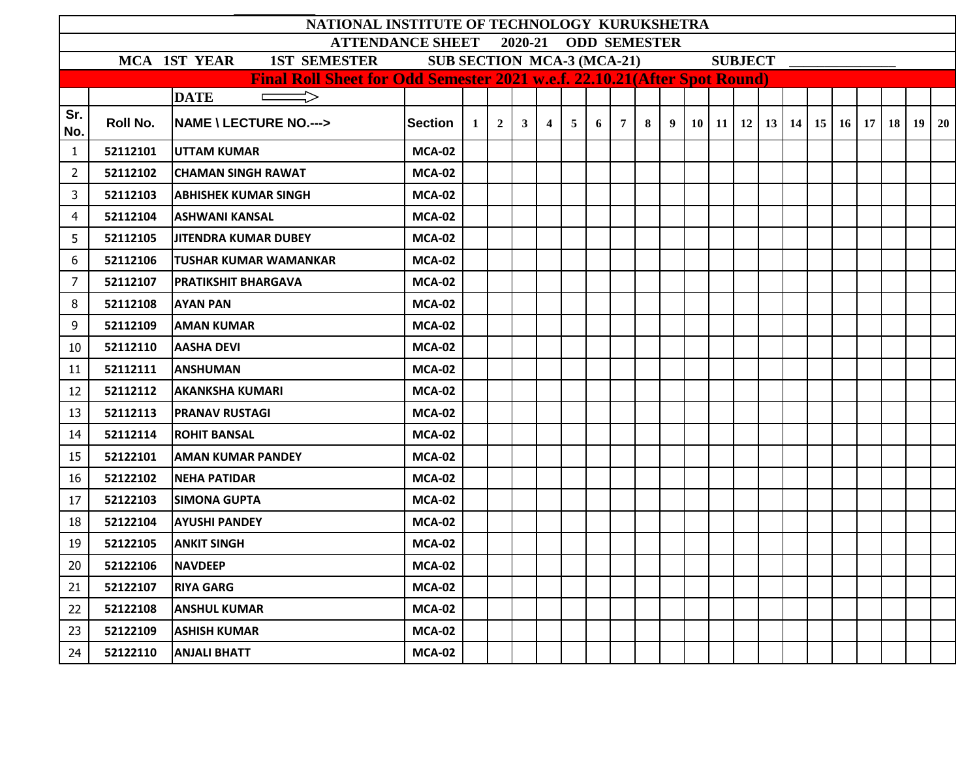|                                                                                                                                                                                       |          | NATIONAL INSTITUTE OF TECHNOLOGY KURUKSHETRA |               |   |                |              |                |                |   |                |   |  |  |  |  |  |  |                                                            |  |  |
|---------------------------------------------------------------------------------------------------------------------------------------------------------------------------------------|----------|----------------------------------------------|---------------|---|----------------|--------------|----------------|----------------|---|----------------|---|--|--|--|--|--|--|------------------------------------------------------------|--|--|
| <b>ODD SEMESTER</b><br><b>ATTENDANCE SHEET</b><br>2020-21                                                                                                                             |          |                                              |               |   |                |              |                |                |   |                |   |  |  |  |  |  |  |                                                            |  |  |
| <b>MCA 1ST YEAR</b><br><b>1ST SEMESTER</b><br><b>SUB SECTION MCA-3 (MCA-21)</b><br><b>SUBJECT</b><br><b>Final Roll Sheet for Odd Semester 2021 w.e.f. 22.10.21 (After Spot Round)</b> |          |                                              |               |   |                |              |                |                |   |                |   |  |  |  |  |  |  |                                                            |  |  |
|                                                                                                                                                                                       |          |                                              |               |   |                |              |                |                |   |                |   |  |  |  |  |  |  |                                                            |  |  |
|                                                                                                                                                                                       |          | $\implies$<br><b>DATE</b>                    |               |   |                |              |                |                |   |                |   |  |  |  |  |  |  |                                                            |  |  |
| Sr.<br>No.                                                                                                                                                                            | Roll No. | <b>NAME \ LECTURE NO.---&gt;</b>             | Section       | 1 | 2 <sup>1</sup> | $\mathbf{3}$ | $\overline{4}$ | 5 <sup>1</sup> | 6 | 7 <sup>1</sup> | 8 |  |  |  |  |  |  | $9   10   11   12   13   14   15   16   17   18   19   20$ |  |  |
| $\mathbf{1}$                                                                                                                                                                          | 52112101 | <b>UTTAM KUMAR</b>                           | <b>MCA-02</b> |   |                |              |                |                |   |                |   |  |  |  |  |  |  |                                                            |  |  |
| 2                                                                                                                                                                                     | 52112102 | <b>CHAMAN SINGH RAWAT</b>                    | <b>MCA-02</b> |   |                |              |                |                |   |                |   |  |  |  |  |  |  |                                                            |  |  |
| 3                                                                                                                                                                                     | 52112103 | <b>ABHISHEK KUMAR SINGH</b>                  | <b>MCA-02</b> |   |                |              |                |                |   |                |   |  |  |  |  |  |  |                                                            |  |  |
| 4                                                                                                                                                                                     | 52112104 | <b>ASHWANI KANSAL</b>                        | <b>MCA-02</b> |   |                |              |                |                |   |                |   |  |  |  |  |  |  |                                                            |  |  |
| 5                                                                                                                                                                                     | 52112105 | <b>JITENDRA KUMAR DUBEY</b>                  | <b>MCA-02</b> |   |                |              |                |                |   |                |   |  |  |  |  |  |  |                                                            |  |  |
| 6                                                                                                                                                                                     | 52112106 | <b>TUSHAR KUMAR WAMANKAR</b>                 | <b>MCA-02</b> |   |                |              |                |                |   |                |   |  |  |  |  |  |  |                                                            |  |  |
| $\overline{7}$                                                                                                                                                                        | 52112107 | <b>PRATIKSHIT BHARGAVA</b>                   | <b>MCA-02</b> |   |                |              |                |                |   |                |   |  |  |  |  |  |  |                                                            |  |  |
| 8                                                                                                                                                                                     | 52112108 | <b>AYAN PAN</b>                              | <b>MCA-02</b> |   |                |              |                |                |   |                |   |  |  |  |  |  |  |                                                            |  |  |
| 9                                                                                                                                                                                     | 52112109 | <b>AMAN KUMAR</b>                            | <b>MCA-02</b> |   |                |              |                |                |   |                |   |  |  |  |  |  |  |                                                            |  |  |
| 10                                                                                                                                                                                    | 52112110 | <b>AASHA DEVI</b>                            | <b>MCA-02</b> |   |                |              |                |                |   |                |   |  |  |  |  |  |  |                                                            |  |  |
| 11                                                                                                                                                                                    | 52112111 | <b>ANSHUMAN</b>                              | <b>MCA-02</b> |   |                |              |                |                |   |                |   |  |  |  |  |  |  |                                                            |  |  |
| 12                                                                                                                                                                                    | 52112112 | <b>AKANKSHA KUMARI</b>                       | <b>MCA-02</b> |   |                |              |                |                |   |                |   |  |  |  |  |  |  |                                                            |  |  |
| 13                                                                                                                                                                                    | 52112113 | <b>PRANAV RUSTAGI</b>                        | <b>MCA-02</b> |   |                |              |                |                |   |                |   |  |  |  |  |  |  |                                                            |  |  |
| 14                                                                                                                                                                                    | 52112114 | <b>ROHIT BANSAL</b>                          | <b>MCA-02</b> |   |                |              |                |                |   |                |   |  |  |  |  |  |  |                                                            |  |  |
| 15                                                                                                                                                                                    | 52122101 | <b>AMAN KUMAR PANDEY</b>                     | <b>MCA-02</b> |   |                |              |                |                |   |                |   |  |  |  |  |  |  |                                                            |  |  |
| 16                                                                                                                                                                                    | 52122102 | <b>NEHA PATIDAR</b>                          | <b>MCA-02</b> |   |                |              |                |                |   |                |   |  |  |  |  |  |  |                                                            |  |  |
| 17                                                                                                                                                                                    | 52122103 | <b>SIMONA GUPTA</b>                          | <b>MCA-02</b> |   |                |              |                |                |   |                |   |  |  |  |  |  |  |                                                            |  |  |
| 18                                                                                                                                                                                    | 52122104 | <b>AYUSHI PANDEY</b>                         | <b>MCA-02</b> |   |                |              |                |                |   |                |   |  |  |  |  |  |  |                                                            |  |  |
| 19                                                                                                                                                                                    | 52122105 | <b>ANKIT SINGH</b>                           | <b>MCA-02</b> |   |                |              |                |                |   |                |   |  |  |  |  |  |  |                                                            |  |  |
| 20                                                                                                                                                                                    | 52122106 | <b>NAVDEEP</b>                               | <b>MCA-02</b> |   |                |              |                |                |   |                |   |  |  |  |  |  |  |                                                            |  |  |
| 21                                                                                                                                                                                    | 52122107 | <b>RIYA GARG</b>                             | <b>MCA-02</b> |   |                |              |                |                |   |                |   |  |  |  |  |  |  |                                                            |  |  |
| 22                                                                                                                                                                                    | 52122108 | <b>ANSHUL KUMAR</b>                          | <b>MCA-02</b> |   |                |              |                |                |   |                |   |  |  |  |  |  |  |                                                            |  |  |
| 23                                                                                                                                                                                    | 52122109 | <b>ASHISH KUMAR</b>                          | <b>MCA-02</b> |   |                |              |                |                |   |                |   |  |  |  |  |  |  |                                                            |  |  |
| 24                                                                                                                                                                                    | 52122110 | <b>ANJALI BHATT</b>                          | <b>MCA-02</b> |   |                |              |                |                |   |                |   |  |  |  |  |  |  |                                                            |  |  |